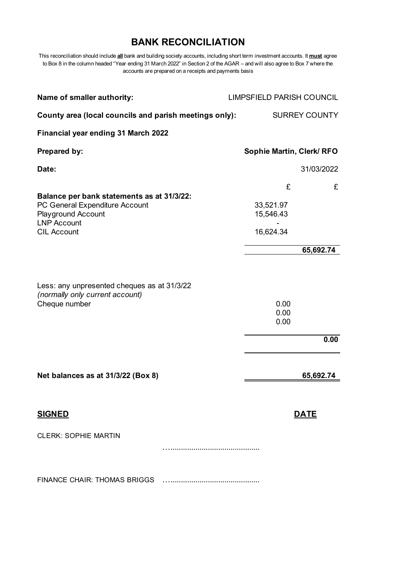## **BANK RECONCILIATION**

This reconciliation should include **all** bank and building society accounts, including short term investment accounts. It **must** agree to Box 8 in the column headed "Year ending 31 March 2022" in Section 2 of the AGAR – and will also agree to Box 7 where the accounts are prepared on a receipts and payments basis

| Name of smaller authority:                                                                                                                            | <b>LIMPSFIELD PARISH COUNCIL</b>              |
|-------------------------------------------------------------------------------------------------------------------------------------------------------|-----------------------------------------------|
| County area (local councils and parish meetings only):                                                                                                | <b>SURREY COUNTY</b>                          |
| Financial year ending 31 March 2022                                                                                                                   |                                               |
| <b>Prepared by:</b>                                                                                                                                   | Sophie Martin, Clerk/RFO                      |
| Date:                                                                                                                                                 | 31/03/2022                                    |
| Balance per bank statements as at 31/3/22:<br>PC General Expenditure Account<br><b>Playground Account</b><br><b>LNP Account</b><br><b>CIL Account</b> | £<br>£<br>33,521.97<br>15,546.43<br>16,624.34 |
|                                                                                                                                                       | 65,692.74                                     |
| Less: any unpresented cheques as at 31/3/22<br>(normally only current account)<br>Cheque number                                                       | 0.00<br>0.00<br>0.00<br>0.00                  |
| Net balances as at 31/3/22 (Box 8)                                                                                                                    | 65,692.74                                     |
| <b>SIGNED</b>                                                                                                                                         | <b>DATE</b>                                   |
| <b>CLERK: SOPHIE MARTIN</b>                                                                                                                           |                                               |
|                                                                                                                                                       |                                               |
| FINANCE CHAIR: THOMAS BRIGGS                                                                                                                          |                                               |